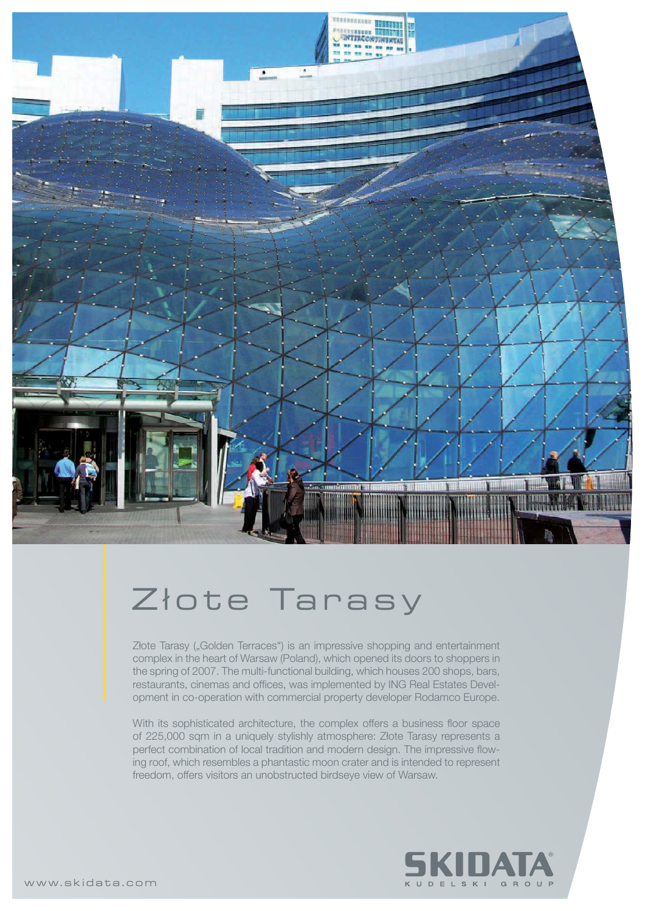

## Złote Tarasy

Złote Tarasy ("Golden Terraces") is an impressive shopping and entertainment complex in the heart of Warsaw (Poland), which opened its doors to shoppers in the spring of 2007. The multi-functional building, which houses 200 shops, bars, restaurants, cinemas and offices, was implemented by ING Real Estates Development in co-operation with commercial property developer Rodamco Europe.

With its sophisticated architecture, the complex offers a business floor space of 225,000 sqm in a uniquely stylishly atmosphere: Złote Tarasy represents a perfect combination of local tradition and modern design. The impressive flowing roof, which resembles a phantastic moon crater and is intended to represent freedom, offers visitors an unobstructed birdseye view of Warsaw.